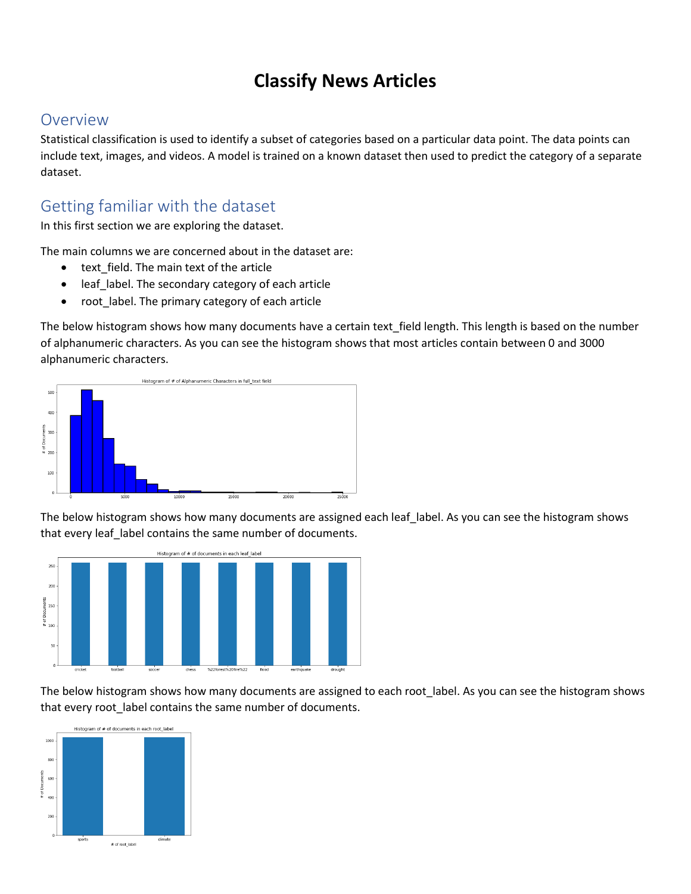# **Classify News Articles**

## Overview

Statistical classification is used to identify a subset of categories based on a particular data point. The data points can include text, images, and videos. A model is trained on a known dataset then used to predict the category of a separate dataset.

# Getting familiar with the dataset

In this first section we are exploring the dataset.

The main columns we are concerned about in the dataset are:

- text\_field. The main text of the article
- leaf label. The secondary category of each article
- root\_label. The primary category of each article

The below histogram shows how many documents have a certain text\_field length. This length is based on the number of alphanumeric characters. As you can see the histogram shows that most articles contain between 0 and 3000 alphanumeric characters.



The below histogram shows how many documents are assigned each leaf label. As you can see the histogram shows that every leaf\_label contains the same number of documents.



The below histogram shows how many documents are assigned to each root\_label. As you can see the histogram shows that every root label contains the same number of documents.

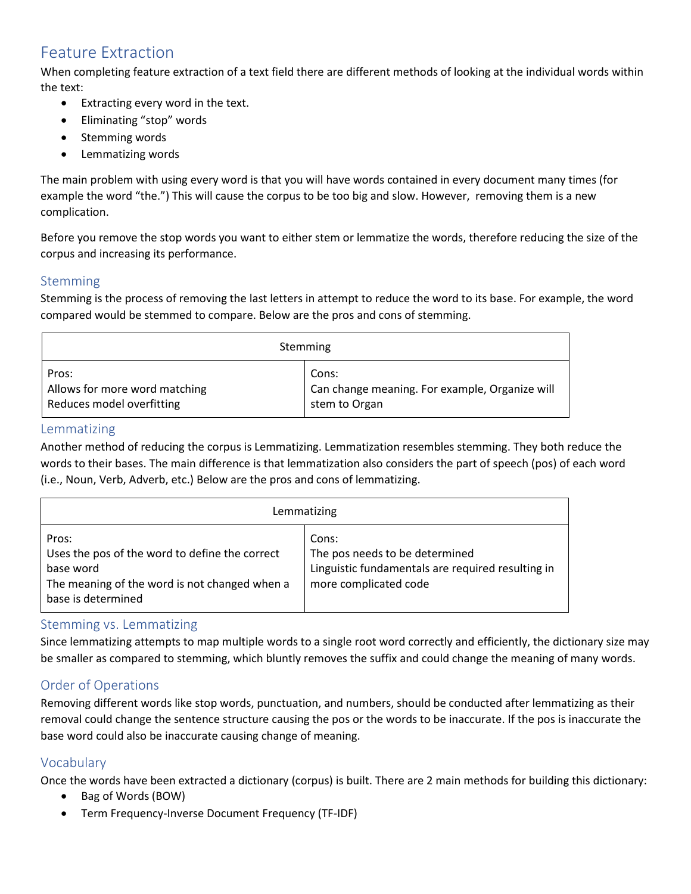# Feature Extraction

When completing feature extraction of a text field there are different methods of looking at the individual words within the text:

- Extracting every word in the text.
- Eliminating "stop" words
- Stemming words
- Lemmatizing words

The main problem with using every word is that you will have words contained in every document many times (for example the word "the.") This will cause the corpus to be too big and slow. However, removing them is a new complication.

Before you remove the stop words you want to either stem or lemmatize the words, therefore reducing the size of the corpus and increasing its performance.

## Stemming

Stemming is the process of removing the last letters in attempt to reduce the word to its base. For example, the word compared would be stemmed to compare. Below are the pros and cons of stemming.

| Stemming                      |                                                |  |  |  |
|-------------------------------|------------------------------------------------|--|--|--|
| Pros:                         | Cons:                                          |  |  |  |
| Allows for more word matching | Can change meaning. For example, Organize will |  |  |  |
| Reduces model overfitting     | stem to Organ                                  |  |  |  |

## Lemmatizing

Another method of reducing the corpus is Lemmatizing. Lemmatization resembles stemming. They both reduce the words to their bases. The main difference is that lemmatization also considers the part of speech (pos) of each word (i.e., Noun, Verb, Adverb, etc.) Below are the pros and cons of lemmatizing.

| Lemmatizing                                                                                                                                 |                                                                                                                       |  |  |  |  |
|---------------------------------------------------------------------------------------------------------------------------------------------|-----------------------------------------------------------------------------------------------------------------------|--|--|--|--|
| Pros:<br>Uses the pos of the word to define the correct<br>base word<br>The meaning of the word is not changed when a<br>base is determined | Cons:<br>The pos needs to be determined<br>Linguistic fundamentals are required resulting in<br>more complicated code |  |  |  |  |

## Stemming vs. Lemmatizing

Since lemmatizing attempts to map multiple words to a single root word correctly and efficiently, the dictionary size may be smaller as compared to stemming, which bluntly removes the suffix and could change the meaning of many words.

## Order of Operations

Removing different words like stop words, punctuation, and numbers, should be conducted after lemmatizing as their removal could change the sentence structure causing the pos or the words to be inaccurate. If the pos is inaccurate the base word could also be inaccurate causing change of meaning.

## Vocabulary

Once the words have been extracted a dictionary (corpus) is built. There are 2 main methods for building this dictionary:

- Bag of Words (BOW)
- Term Frequency-Inverse Document Frequency (TF-IDF)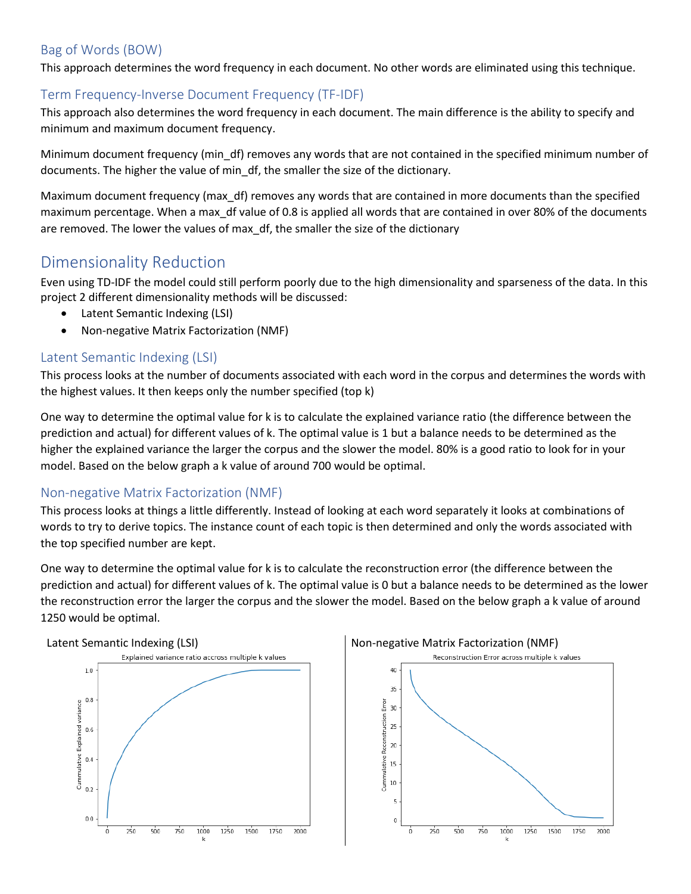## Bag of Words (BOW)

This approach determines the word frequency in each document. No other words are eliminated using this technique.

## Term Frequency-Inverse Document Frequency (TF-IDF)

This approach also determines the word frequency in each document. The main difference is the ability to specify and minimum and maximum document frequency.

Minimum document frequency (min\_df) removes any words that are not contained in the specified minimum number of documents. The higher the value of min\_df, the smaller the size of the dictionary.

Maximum document frequency (max\_df) removes any words that are contained in more documents than the specified maximum percentage. When a max\_df value of 0.8 is applied all words that are contained in over 80% of the documents are removed. The lower the values of max\_df, the smaller the size of the dictionary

# Dimensionality Reduction

Even using TD-IDF the model could still perform poorly due to the high dimensionality and sparseness of the data. In this project 2 different dimensionality methods will be discussed:

- Latent Semantic Indexing (LSI)
- Non-negative Matrix Factorization (NMF)

## Latent Semantic Indexing (LSI)

This process looks at the number of documents associated with each word in the corpus and determines the words with the highest values. It then keeps only the number specified (top k)

One way to determine the optimal value for k is to calculate the explained variance ratio (the difference between the prediction and actual) for different values of k. The optimal value is 1 but a balance needs to be determined as the higher the explained variance the larger the corpus and the slower the model. 80% is a good ratio to look for in your model. Based on the below graph a k value of around 700 would be optimal.

## Non-negative Matrix Factorization (NMF)

This process looks at things a little differently. Instead of looking at each word separately it looks at combinations of words to try to derive topics. The instance count of each topic is then determined and only the words associated with the top specified number are kept.

One way to determine the optimal value for k is to calculate the reconstruction error (the difference between the prediction and actual) for different values of k. The optimal value is 0 but a balance needs to be determined as the lower the reconstruction error the larger the corpus and the slower the model. Based on the below graph a k value of around 1250 would be optimal.



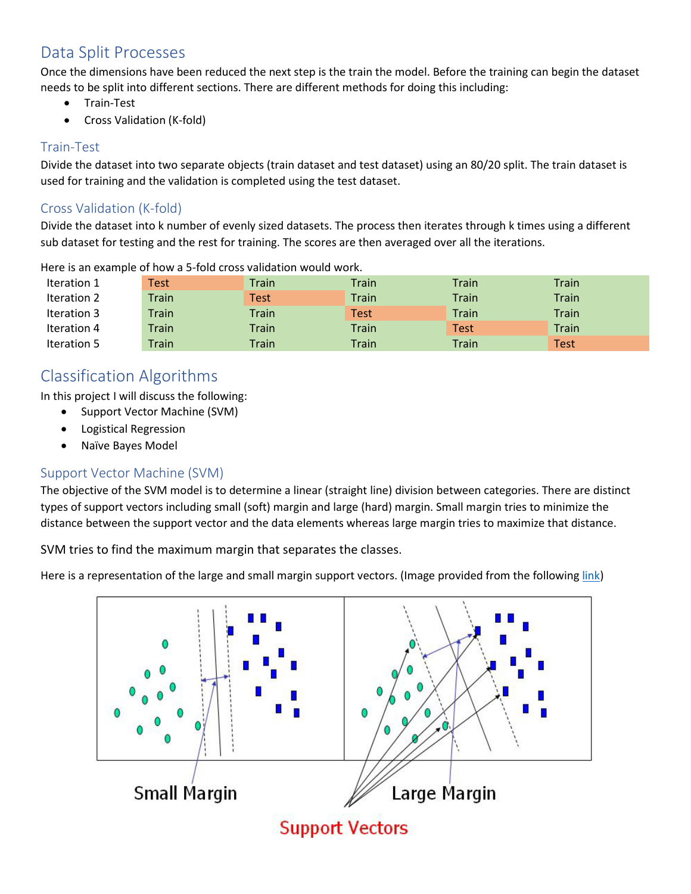# Data Split Processes

Once the dimensions have been reduced the next step is the train the model. Before the training can begin the dataset needs to be split into different sections. There are different methods for doing this including:

- Train-Test
- Cross Validation (K-fold)

## Train-Test

Divide the dataset into two separate objects (train dataset and test dataset) using an 80/20 split. The train dataset is used for training and the validation is completed using the test dataset.

## Cross Validation (K-fold)

Divide the dataset into k number of evenly sized datasets. The process then iterates through k times using a different sub dataset for testing and the rest for training. The scores are then averaged over all the iterations.

| Iteration 1 | Test  | Train | Train | Train | Train        |
|-------------|-------|-------|-------|-------|--------------|
| Iteration 2 | Train | Test  | Train | Train | <b>Train</b> |
| Iteration 3 | Train | Train | Test  | Train | Train        |
| Iteration 4 | Train | Train | Train | Test  | Train        |
| Iteration 5 | Train | Train | Train | Train | Test         |

Here is an example of how a 5-fold cross validation would work.

## Classification Algorithms

In this project I will discuss the following:

- Support Vector Machine (SVM)
- Logistical Regression
- Naïve Bayes Model

## Support Vector Machine (SVM)

The objective of the SVM model is to determine a linear (straight line) division between categories. There are distinct types of support vectors including small (soft) margin and large (hard) margin. Small margin tries to minimize the distance between the support vector and the data elements whereas large margin tries to maximize that distance.

SVM tries to find the maximum margin that separates the classes.

Here is a representation of the large and small margin support vectors. (Image provided from the following [link\)](https://towardsdatascience.com/support-vector-machine-introduction-to-machine-learning-algorithms-934a444fca47)

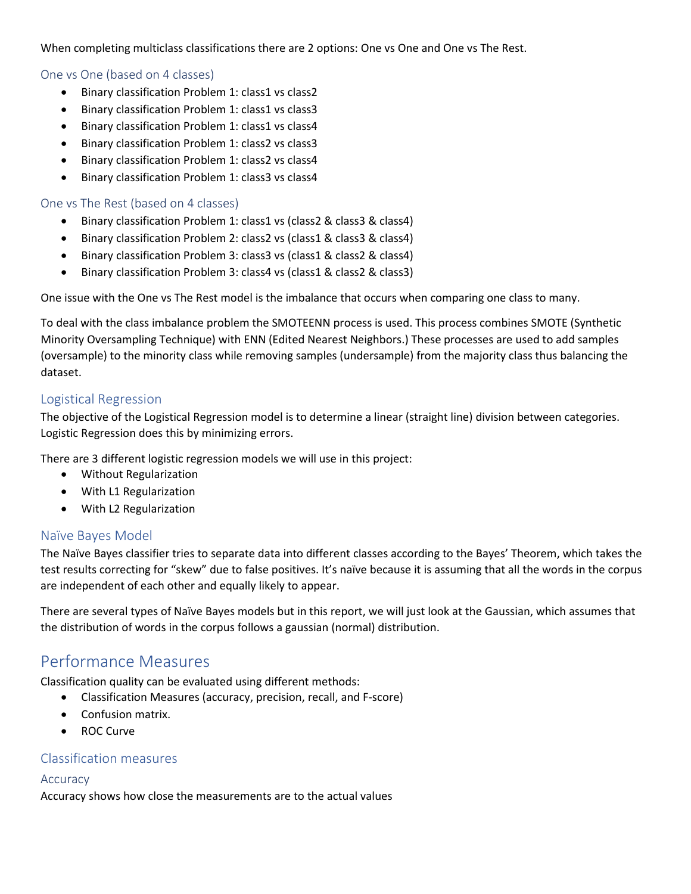When completing multiclass classifications there are 2 options: One vs One and One vs The Rest.

#### One vs One (based on 4 classes)

- Binary classification Problem 1: class1 vs class2
- Binary classification Problem 1: class1 vs class3
- Binary classification Problem 1: class1 vs class4
- Binary classification Problem 1: class2 vs class3
- Binary classification Problem 1: class2 vs class4
- Binary classification Problem 1: class3 vs class4

#### One vs The Rest (based on 4 classes)

- Binary classification Problem 1: class1 vs (class2 & class3 & class4)
- Binary classification Problem 2: class2 vs (class1 & class3 & class4)
- Binary classification Problem 3: class3 vs (class1 & class2 & class4)
- Binary classification Problem 3: class4 vs (class1 & class2 & class3)

One issue with the One vs The Rest model is the imbalance that occurs when comparing one class to many.

To deal with the class imbalance problem the SMOTEENN process is used. This process combines SMOTE (Synthetic Minority Oversampling Technique) with ENN (Edited Nearest Neighbors.) These processes are used to add samples (oversample) to the minority class while removing samples (undersample) from the majority class thus balancing the dataset.

### Logistical Regression

The objective of the Logistical Regression model is to determine a linear (straight line) division between categories. Logistic Regression does this by minimizing errors.

There are 3 different logistic regression models we will use in this project:

- Without Regularization
- With L1 Regularization
- With L2 Regularization

### Naïve Bayes Model

The Naïve Bayes classifier tries to separate data into different classes according to the Bayes' Theorem, which takes the test results correcting for "skew" due to false positives. It's naïve because it is assuming that all the words in the corpus are independent of each other and equally likely to appear.

There are several types of Naïve Bayes models but in this report, we will just look at the Gaussian, which assumes that the distribution of words in the corpus follows a gaussian (normal) distribution.

## Performance Measures

Classification quality can be evaluated using different methods:

- Classification Measures (accuracy, precision, recall, and F-score)
- Confusion matrix.
- ROC Curve

#### Classification measures

#### Accuracy

Accuracy shows how close the measurements are to the actual values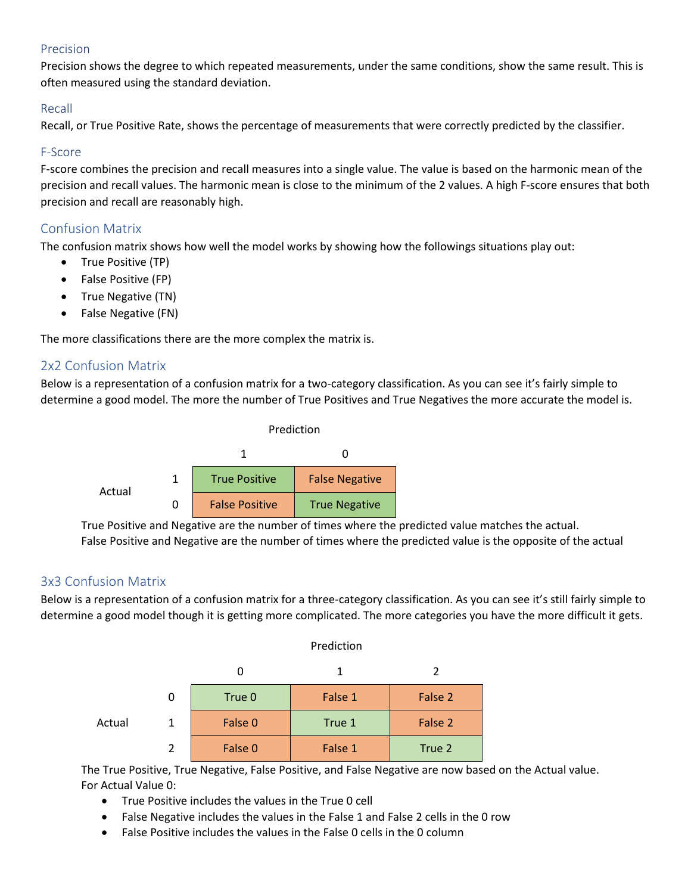## Precision

Precision shows the degree to which repeated measurements, under the same conditions, show the same result. This is often measured using the standard deviation.

### Recall

Recall, or True Positive Rate, shows the percentage of measurements that were correctly predicted by the classifier.

### F-Score

F-score combines the precision and recall measures into a single value. The value is based on the harmonic mean of the precision and recall values. The harmonic mean is close to the minimum of the 2 values. A high F-score ensures that both precision and recall are reasonably high.

## Confusion Matrix

The confusion matrix shows how well the model works by showing how the followings situations play out:

- True Positive (TP)
- False Positive (FP)
- True Negative (TN)
- False Negative (FN)

The more classifications there are the more complex the matrix is.

## 2x2 Confusion Matrix

Below is a representation of a confusion matrix for a two-category classification. As you can see it's fairly simple to determine a good model. The more the number of True Positives and True Negatives the more accurate the model is.



True Positive and Negative are the number of times where the predicted value matches the actual. False Positive and Negative are the number of times where the predicted value is the opposite of the actual

## 3x3 Confusion Matrix

Below is a representation of a confusion matrix for a three-category classification. As you can see it's still fairly simple to determine a good model though it is getting more complicated. The more categories you have the more difficult it gets.

Prediction

|        |               | Prediction |         |         |  |  |
|--------|---------------|------------|---------|---------|--|--|
|        |               |            |         |         |  |  |
|        | 0             | True 0     | False 1 | False 2 |  |  |
| Actual |               | False 0    | True 1  | False 2 |  |  |
|        | $\mathcal{P}$ | False 0    | False 1 | True 2  |  |  |

The True Positive, True Negative, False Positive, and False Negative are now based on the Actual value. For Actual Value 0:

- True Positive includes the values in the True 0 cell
- False Negative includes the values in the False 1 and False 2 cells in the 0 row
- False Positive includes the values in the False 0 cells in the 0 column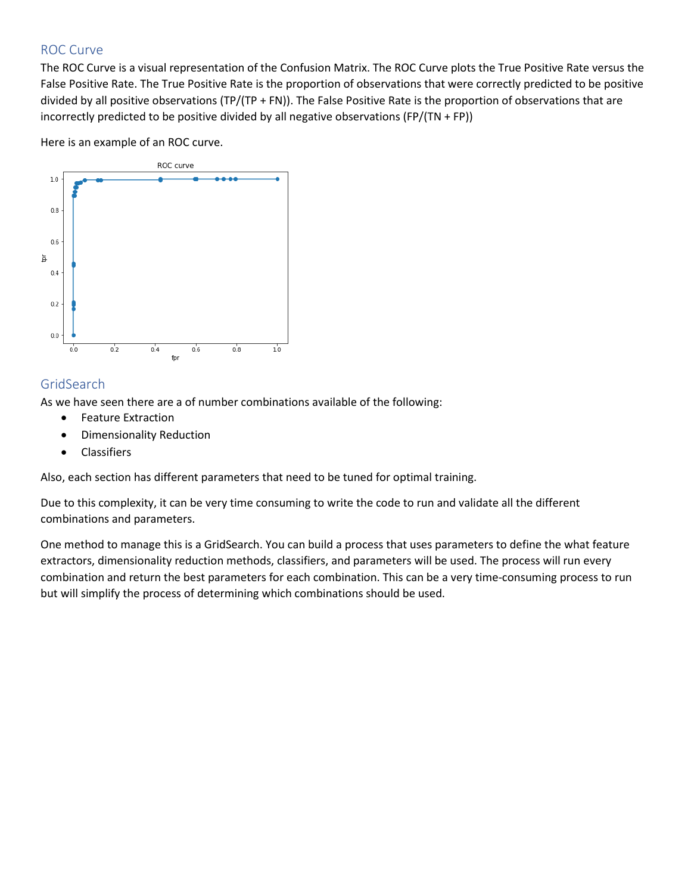## ROC Curve

The ROC Curve is a visual representation of the Confusion Matrix. The ROC Curve plots the True Positive Rate versus the False Positive Rate. The True Positive Rate is the proportion of observations that were correctly predicted to be positive divided by all positive observations (TP/(TP + FN)). The False Positive Rate is the proportion of observations that are incorrectly predicted to be positive divided by all negative observations (FP/(TN + FP))

Here is an example of an ROC curve.



## **GridSearch**

As we have seen there are a of number combinations available of the following:

- Feature Extraction
- Dimensionality Reduction
- Classifiers

Also, each section has different parameters that need to be tuned for optimal training.

Due to this complexity, it can be very time consuming to write the code to run and validate all the different combinations and parameters.

One method to manage this is a GridSearch. You can build a process that uses parameters to define the what feature extractors, dimensionality reduction methods, classifiers, and parameters will be used. The process will run every combination and return the best parameters for each combination. This can be a very time-consuming process to run but will simplify the process of determining which combinations should be used.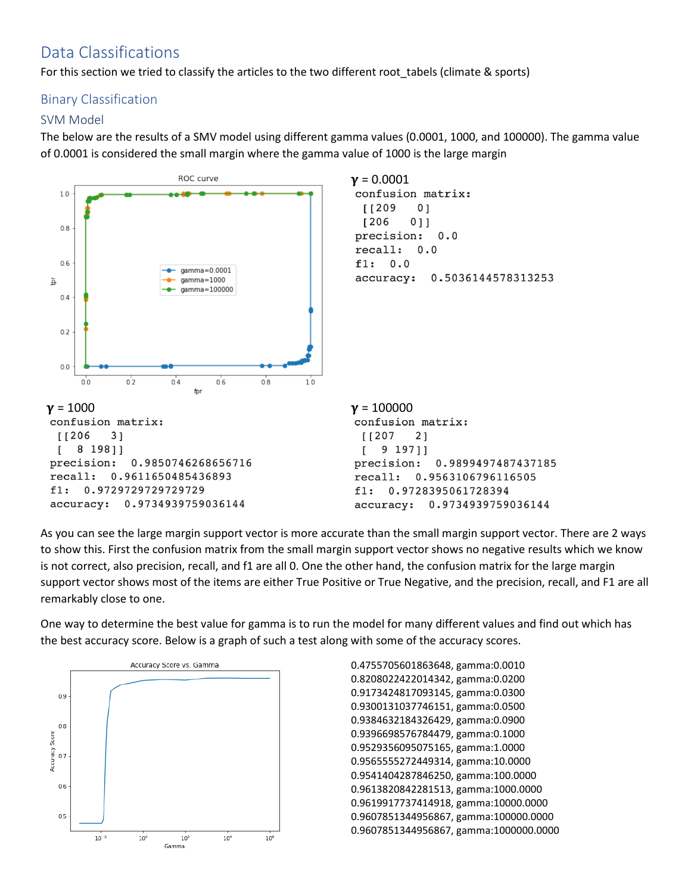# Data Classifications

For this section we tried to classify the articles to the two different root\_tabels (climate & sports)

## Binary Classification

## SVM Model

The below are the results of a SMV model using different gamma values (0.0001, 1000, and 100000). The gamma value of 0.0001 is considered the small margin where the gamma value of 1000 is the large margin



As you can see the large margin support vector is more accurate than the small margin support vector. There are 2 ways to show this. First the confusion matrix from the small margin support vector shows no negative results which we know is not correct, also precision, recall, and f1 are all 0. One the other hand, the confusion matrix for the large margin support vector shows most of the items are either True Positive or True Negative, and the precision, recall, and F1 are all remarkably close to one.

One way to determine the best value for gamma is to run the model for many different values and find out which has the best accuracy score. Below is a graph of such a test along with some of the accuracy scores.



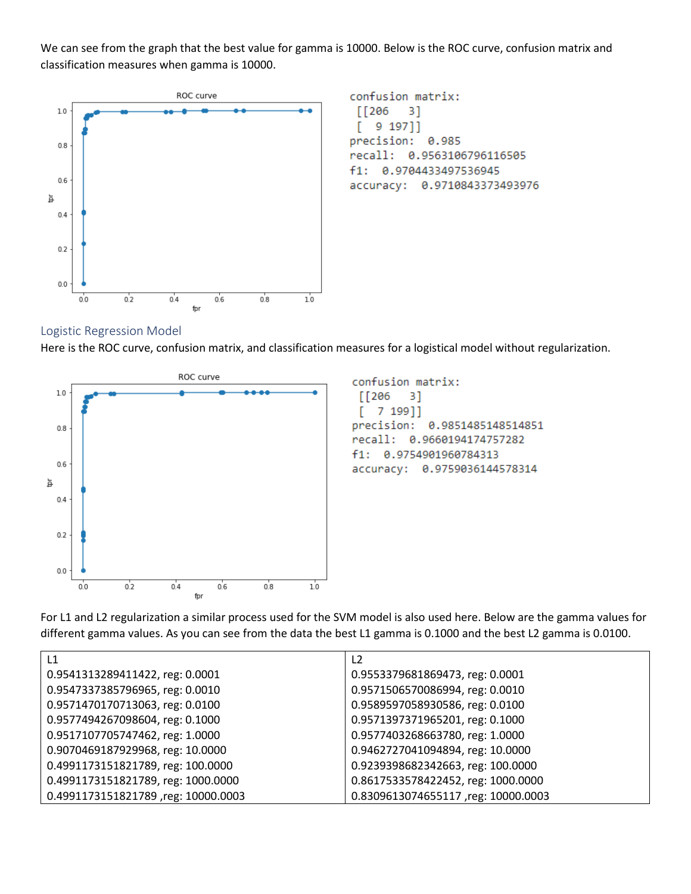We can see from the graph that the best value for gamma is 10000. Below is the ROC curve, confusion matrix and classification measures when gamma is 10000.



confusion matrix:  $\sqrt{206}$ 3] 9 197]] T. precision: 0.985 recall: 0.9563106796116505 f1: 0.9704433497536945 accuracy: 0.9710843373493976

#### Logistic Regression Model

Here is the ROC curve, confusion matrix, and classification measures for a logistical model without regularization.



confusion matrix:  $\sqrt{206}$ 3]  $\Gamma$ 7 199]] precision: 0.9851485148514851 recall: 0.9660194174757282 0.9754901960784313  $f1:$ accuracy: 0.9759036144578314

For L1 and L2 regularization a similar process used for the SVM model is also used here. Below are the gamma values for different gamma values. As you can see from the data the best L1 gamma is 0.1000 and the best L2 gamma is 0.0100.

| L1                                  | L <sub>2</sub>                     |
|-------------------------------------|------------------------------------|
| 0.9541313289411422, reg: 0.0001     | 0.9553379681869473, reg: 0.0001    |
| 0.9547337385796965, reg: 0.0010     | 0.9571506570086994, reg: 0.0010    |
| 0.9571470170713063, reg: 0.0100     | 0.9589597058930586, reg: 0.0100    |
| 0.9577494267098604, reg: 0.1000     | 0.9571397371965201, reg: 0.1000    |
| 0.9517107705747462, reg: 1.0000     | 0.9577403268663780, reg: 1.0000    |
| 0.9070469187929968, reg: 10.0000    | 0.9462727041094894, reg: 10.0000   |
| 0.4991173151821789, reg: 100.0000   | 0.9239398682342663, reg: 100.0000  |
| 0.4991173151821789, reg: 1000.0000  | 0.8617533578422452, reg: 1000.0000 |
| 0.4991173151821789, reg: 10000.0003 | 0.8309613074655117,reg: 10000.0003 |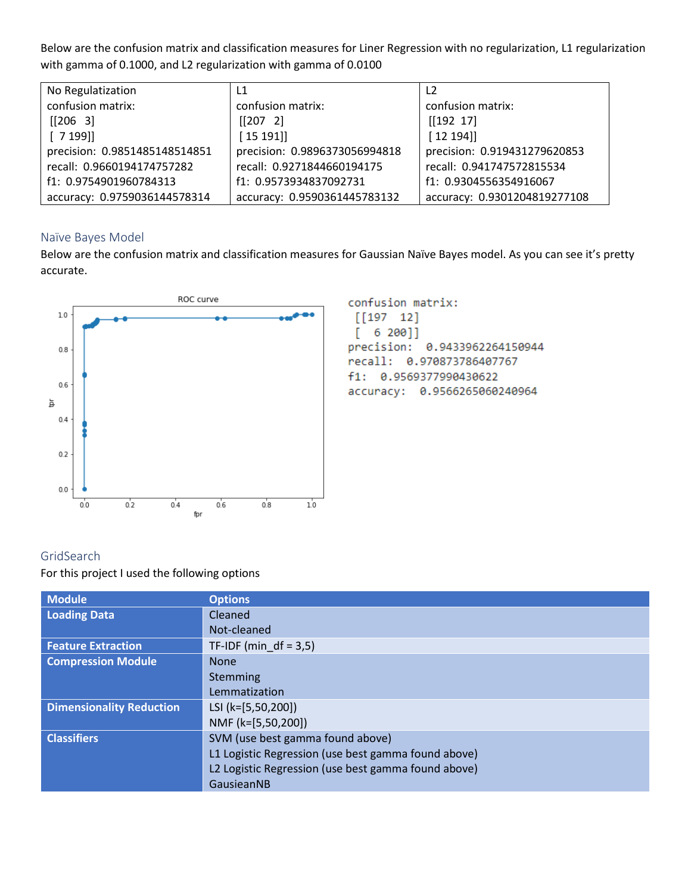Below are the confusion matrix and classification measures for Liner Regression with no regularization, L1 regularization with gamma of 0.1000, and L2 regularization with gamma of 0.0100

| No Regulatization             | $\mathsf{L}1$                 | L <sub>2</sub>               |
|-------------------------------|-------------------------------|------------------------------|
| confusion matrix:             | confusion matrix:             | confusion matrix:            |
| [206 3]                       | [207 2]                       | [192 17]                     |
| [7199]                        | [15 191]                      | [12 194]                     |
| precision: 0.9851485148514851 | precision: 0.9896373056994818 | precision: 0.919431279620853 |
| recall: 0.9660194174757282    | recall: 0.9271844660194175    | recall: 0.941747572815534    |
| f1: 0.9754901960784313        | f1: 0.9573934837092731        | f1: 0.9304556354916067       |
| accuracy: 0.9759036144578314  | accuracy: 0.9590361445783132  | accuracy: 0.9301204819277108 |

### Naïve Bayes Model

Below are the confusion matrix and classification measures for Gaussian Naïve Bayes model. As you can see it's pretty accurate.



confusion matrix:  $[[197 12]$  $6200]$ L precision: 0.9433962264150944 recall: 0.970873786407767 f1: 0.9569377990430622 accuracy: 0.9566265060240964

## GridSearch

For this project I used the following options

| <b>Module</b>                   | <b>Options</b>                                      |
|---------------------------------|-----------------------------------------------------|
| <b>Loading Data</b>             | Cleaned                                             |
|                                 | Not-cleaned                                         |
| <b>Feature Extraction</b>       | TF-IDF (min $df = 3.5$ )                            |
| <b>Compression Module</b>       | <b>None</b>                                         |
|                                 | Stemming                                            |
|                                 | Lemmatization                                       |
| <b>Dimensionality Reduction</b> | LSI (k=[5,50,200])                                  |
|                                 | NMF (k=[5,50,200])                                  |
| <b>Classifiers</b>              | SVM (use best gamma found above)                    |
|                                 | L1 Logistic Regression (use best gamma found above) |
|                                 | L2 Logistic Regression (use best gamma found above) |
|                                 | GausieanNB                                          |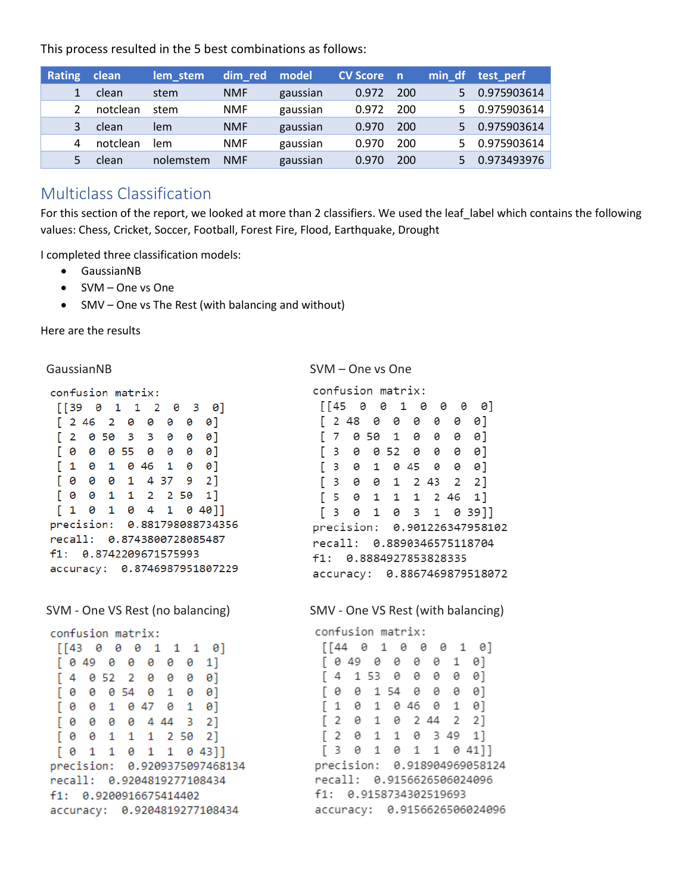This process resulted in the 5 best combinations as follows:

| <b>Rating</b> | clean    | lem_stem  | dim red    | model    | <b>CV Score</b> n |     |    | min_df test_perf |
|---------------|----------|-----------|------------|----------|-------------------|-----|----|------------------|
|               | clean    | stem      | <b>NMF</b> | gaussian | 0.972             | 200 | 5. | 0.975903614      |
|               | notclean | stem      | <b>NMF</b> | gaussian | 0.972             | 200 | 5. | 0.975903614      |
|               | clean    | lem       | <b>NMF</b> | gaussian | 0.970             | 200 |    | 0.975903614      |
| 4             | notclean | lem       | <b>NMF</b> | gaussian | 0.970             | 200 |    | 0.975903614      |
|               | clean    | nolemstem | <b>NMF</b> | gaussian | 0.970             | 200 |    | 0.973493976      |

## Multiclass Classification

For this section of the report, we looked at more than 2 classifiers. We used the leaf\_label which contains the following values: Chess, Cricket, Soccer, Football, Forest Fire, Flood, Earthquake, Drought

I completed three classification models:

- GaussianNB
- SVM One vs One
- SMV One vs The Rest (with balancing and without)

Here are the results

```
confusion matrix:
```
 $[39 \t0 \t1 \t1 \t2 \t0 \t3 \t0]$  $[246 2 0 0 0 0 0]$  $[2 0 50 3 3 0 0 0]$  $[0 0 0 55 0 0 0 0]$  $[1 0 1 0 46 1 0 0]$  $[0 0 0 1 4 37 9 2]$  $[0 0 1 1 2 2 50 1]$  $[1 0 1 0 4 1 0 40]$ precision: 0.881798088734356 recall: 0.8743800728085487 f1: 0.8742209671575993 accuracy: 0.8746987951807229

|  | confusion matrix:      |  |  |                                     |  |
|--|------------------------|--|--|-------------------------------------|--|
|  |                        |  |  | $[[43 \ 0 \ 0 \ 0 \ 1 \ 1 \ 1 \ 0]$ |  |
|  |                        |  |  | 1]                                  |  |
|  | [4 052 2 0 0 0 0]      |  |  |                                     |  |
|  | [0 0 0 54 0 1 0 0]     |  |  |                                     |  |
|  | [0 0 1 0 47 0 1 0]     |  |  |                                     |  |
|  | [0 0 0 0 4 44 3 2]     |  |  |                                     |  |
|  | [0 0 1 1 1 2 50 2]     |  |  |                                     |  |
|  |                        |  |  | [ 0 1 1 0 1 1 0 43 ]                |  |
|  |                        |  |  | precision: 0.9209375097468134       |  |
|  |                        |  |  | recall: 0.9204819277108434          |  |
|  | f1: 0.9200916675414402 |  |  |                                     |  |
|  |                        |  |  | accuracy: 0.9204819277108434        |  |

GaussianNB SVM – One vs One

confusion matrix:

|   |                |     | $[145 \t0 \t0 \t1 \t0 \t0$ |           |  | - 0 |    | 91                           |  |
|---|----------------|-----|----------------------------|-----------|--|-----|----|------------------------------|--|
|   |                |     | 2 48 0 0 0 0               |           |  | 0   | 0] |                              |  |
|   | $\overline{7}$ |     | 0 50 1 0 0                 |           |  | 0   | 0] |                              |  |
|   |                | 3 0 |                            | 052 0 0 0 |  |     | 0] |                              |  |
|   |                |     | 3 0 1 0 45 0 0             |           |  |     | 0] |                              |  |
| Г |                |     | 3 0 0 1 2 43 2 2]          |           |  |     |    |                              |  |
|   |                |     | [5 0 1 1 1 2 46 1]         |           |  |     |    |                              |  |
|   |                |     | [3 0 1 0 3 1 0 39]]        |           |  |     |    |                              |  |
|   |                |     |                            |           |  |     |    | precision: 0.901226347958102 |  |
|   |                |     | recall: 0.8890346575118704 |           |  |     |    |                              |  |
|   |                |     | f1: 0.8884927853828335     |           |  |     |    |                              |  |
|   |                |     |                            |           |  |     |    | accuracy: 0.8867469879518072 |  |

SVM - One VS Rest (no balancing) SMV - One VS Rest (with balancing)

|  | confusion matrix: |  |                        |                                     |  |
|--|-------------------|--|------------------------|-------------------------------------|--|
|  |                   |  |                        | $[[44 \ 0 \ 1 \ 0 \ 0 \ 0 \ 1 \ 0]$ |  |
|  |                   |  |                        | $[0.49 \ 0 \ 0 \ 0 \ 0 \ 1 \ 0]$    |  |
|  |                   |  |                        | $[4$ 153 0 0 0 0 0 1                |  |
|  |                   |  |                        | [0 0 154 0 0 0 0]                   |  |
|  |                   |  |                        | [1 0 1 0 46 0 1 0]                  |  |
|  |                   |  |                        | [2 0 1 0 2 44 2 2]                  |  |
|  |                   |  |                        | [2 0 1 1 0 3 49 1]                  |  |
|  |                   |  |                        | [3 0 1 0 1 1 0 41]]                 |  |
|  |                   |  |                        | precision: 0.918904969058124        |  |
|  |                   |  |                        | recall: 0.9156626506024096          |  |
|  |                   |  | f1: 0.9158734302519693 |                                     |  |
|  |                   |  |                        | accuracy: 0.9156626506024096        |  |